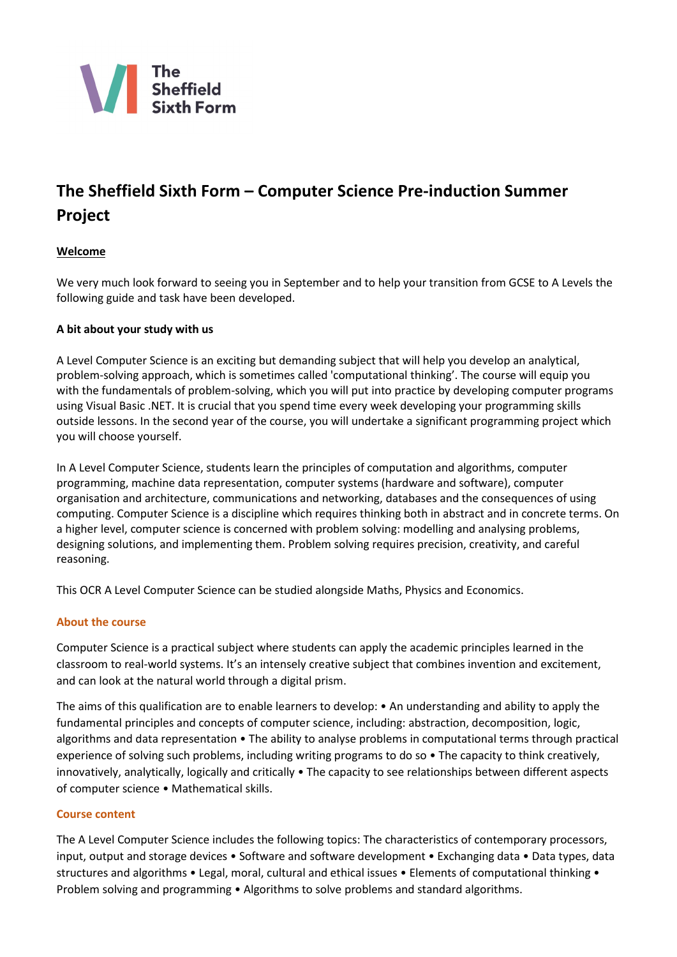

# **The Sheffield Sixth Form – Computer Science Pre-induction Summer Project**

# **Welcome**

We very much look forward to seeing you in September and to help your transition from GCSE to A Levels the following guide and task have been developed.

# **A bit about your study with us**

A Level Computer Science is an exciting but demanding subject that will help you develop an analytical, problem-solving approach, which is sometimes called 'computational thinking'. The course will equip you with the fundamentals of problem-solving, which you will put into practice by developing computer programs using Visual Basic .NET. It is crucial that you spend time every week developing your programming skills outside lessons. In the second year of the course, you will undertake a significant programming project which you will choose yourself.

In A Level Computer Science, students learn the principles of computation and algorithms, computer programming, machine data representation, computer systems (hardware and software), computer organisation and architecture, communications and networking, databases and the consequences of using computing. Computer Science is a discipline which requires thinking both in abstract and in concrete terms. On a higher level, computer science is concerned with problem solving: modelling and analysing problems, designing solutions, and implementing them. Problem solving requires precision, creativity, and careful reasoning.

This OCR A Level Computer Science can be studied alongside Maths, Physics and Economics.

# **About the course**

Computer Science is a practical subject where students can apply the academic principles learned in the classroom to real-world systems. It's an intensely creative subject that combines invention and excitement, and can look at the natural world through a digital prism.

The aims of this qualification are to enable learners to develop: • An understanding and ability to apply the fundamental principles and concepts of computer science, including: abstraction, decomposition, logic, algorithms and data representation • The ability to analyse problems in computational terms through practical experience of solving such problems, including writing programs to do so • The capacity to think creatively, innovatively, analytically, logically and critically • The capacity to see relationships between different aspects of computer science • Mathematical skills.

# **Course content**

The A Level Computer Science includes the following topics: The characteristics of contemporary processors, input, output and storage devices • Software and software development • Exchanging data • Data types, data structures and algorithms • Legal, moral, cultural and ethical issues • Elements of computational thinking • Problem solving and programming • Algorithms to solve problems and standard algorithms.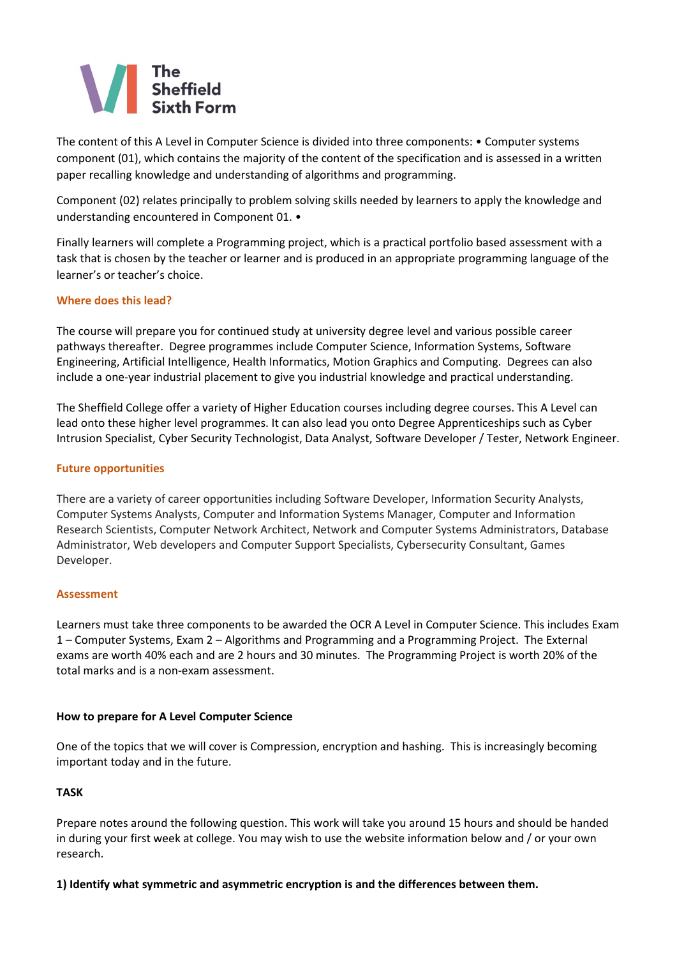# The<br>Sheffield

The content of this A Level in Computer Science is divided into three components: • Computer systems component (01), which contains the majority of the content of the specification and is assessed in a written paper recalling knowledge and understanding of algorithms and programming.

Component (02) relates principally to problem solving skills needed by learners to apply the knowledge and understanding encountered in Component 01. •

Finally learners will complete a Programming project, which is a practical portfolio based assessment with a task that is chosen by the teacher or learner and is produced in an appropriate programming language of the learner's or teacher's choice.

# **Where does this lead?**

The course will prepare you for continued study at university degree level and various possible career pathways thereafter. Degree programmes include Computer Science, Information Systems, Software Engineering, Artificial Intelligence, Health Informatics, Motion Graphics and Computing. Degrees can also include a one-year industrial placement to give you industrial knowledge and practical understanding.

The Sheffield College offer a variety of Higher Education courses including degree courses. This A Level can lead onto these higher level programmes. It can also lead you onto Degree Apprenticeships such as Cyber Intrusion Specialist, Cyber Security Technologist, Data Analyst, Software Developer / Tester, Network Engineer.

# **Future opportunities**

There are a variety of career opportunities including Software Developer, Information Security Analysts, Computer Systems Analysts, Computer and Information Systems Manager, Computer and Information Research Scientists, Computer Network Architect, Network and Computer Systems Administrators, Database Administrator, Web developers and Computer Support Specialists, Cybersecurity Consultant, Games Developer.

# **Assessment**

Learners must take three components to be awarded the OCR A Level in Computer Science. This includes Exam 1 – Computer Systems, Exam 2 – Algorithms and Programming and a Programming Project. The External exams are worth 40% each and are 2 hours and 30 minutes. The Programming Project is worth 20% of the total marks and is a non-exam assessment.

# **How to prepare for A Level Computer Science**

One of the topics that we will cover is Compression, encryption and hashing. This is increasingly becoming important today and in the future.

# **TASK**

Prepare notes around the following question. This work will take you around 15 hours and should be handed in during your first week at college. You may wish to use the website information below and / or your own research.

**1) Identify what symmetric and asymmetric encryption is and the differences between them.**